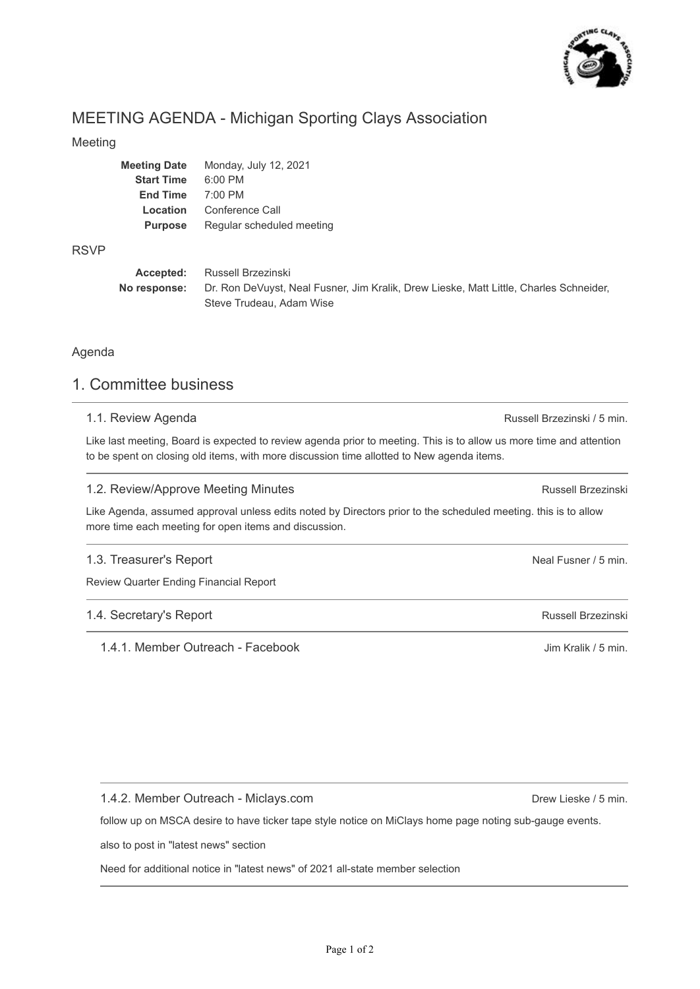

# MEETING AGENDA - Michigan Sporting Clays Association

### Meeting

| <b>Meeting Date</b> | Monday, July 12, 2021     |
|---------------------|---------------------------|
| <b>Start Time</b>   | $6:00$ PM                 |
| <b>End Time</b>     | $7:00$ PM                 |
| Location            | Conference Call           |
| <b>Purpose</b>      | Regular scheduled meeting |
|                     |                           |

### RSVP

| Accepted:    | Russell Brzezinski                                                                     |
|--------------|----------------------------------------------------------------------------------------|
| No response: | Dr. Ron DeVuyst, Neal Fusner, Jim Kralik, Drew Lieske, Matt Little, Charles Schneider, |
|              | Steve Trudeau, Adam Wise                                                               |

Agenda

### 1. Committee business

### 1.1. Review Agenda

Like last meeting, Board is expected to review agenda prior to meeting. This is to allow us more time and attention to be spent on closing old items, with more discussion time allotted to New agenda items.

### 1.2. Review/Approve Meeting Minutes

Like Agenda, assumed approval unless edits noted by Directors prior to the scheduled meeting. this is to allow more time each meeting for open items and discussion.

### 1.3. Treasurer's Report

Review Quarter Ending Financial Report

### 1.4. Secretary's Report

1.4.1. Member Outreach - Facebook

1.4.2. Member Outreach - Miclays.com

follow up on MSCA desire to have ticker tape style notice on MiClays home page noting sub-gauge events.

also to post in "latest news" section

Need for additional notice in "latest news" of 2021 all-state member selection

Russell Brzezinski / 5 min.

Russell Brzezinski

Neal Fusner / 5 min.

Russell Brzezinski

Jim Kralik / 5 min.

Drew Lieske / 5 min.